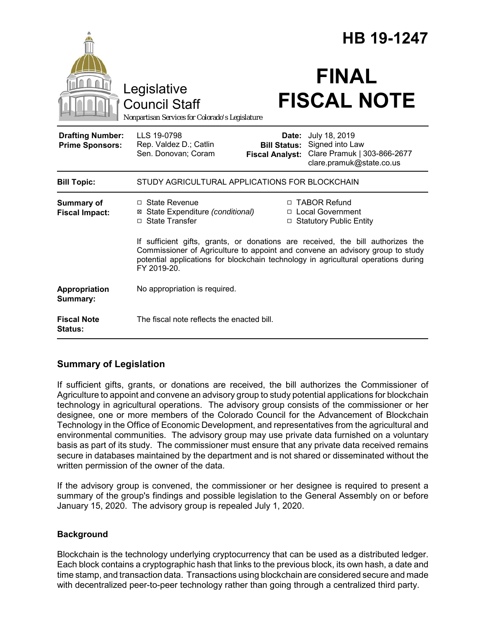|                                                   |                                                                                                                                                                                                                                                                       |                                               | <b>HB 19-1247</b>                                                                                 |
|---------------------------------------------------|-----------------------------------------------------------------------------------------------------------------------------------------------------------------------------------------------------------------------------------------------------------------------|-----------------------------------------------|---------------------------------------------------------------------------------------------------|
|                                                   | Legislative<br><b>Council Staff</b><br>Nonpartisan Services for Colorado's Legislature                                                                                                                                                                                |                                               | <b>FINAL</b><br><b>FISCAL NOTE</b>                                                                |
| <b>Drafting Number:</b><br><b>Prime Sponsors:</b> | LLS 19-0798<br>Rep. Valdez D.; Catlin<br>Sen. Donovan; Coram                                                                                                                                                                                                          | <b>Bill Status:</b><br><b>Fiscal Analyst:</b> | Date: July 18, 2019<br>Signed into Law<br>Clare Pramuk   303-866-2677<br>clare.pramuk@state.co.us |
| <b>Bill Topic:</b>                                | STUDY AGRICULTURAL APPLICATIONS FOR BLOCKCHAIN                                                                                                                                                                                                                        |                                               |                                                                                                   |
| <b>Summary of</b><br><b>Fiscal Impact:</b>        | $\Box$ State Revenue<br>⊠ State Expenditure (conditional)<br>□ State Transfer                                                                                                                                                                                         |                                               | □ TABOR Refund<br>□ Local Government<br>$\Box$ Statutory Public Entity                            |
|                                                   | If sufficient gifts, grants, or donations are received, the bill authorizes the<br>Commissioner of Agriculture to appoint and convene an advisory group to study<br>potential applications for blockchain technology in agricultural operations during<br>FY 2019-20. |                                               |                                                                                                   |
| Appropriation<br>Summary:                         | No appropriation is required.                                                                                                                                                                                                                                         |                                               |                                                                                                   |
| <b>Fiscal Note</b><br><b>Status:</b>              | The fiscal note reflects the enacted bill.                                                                                                                                                                                                                            |                                               |                                                                                                   |

# **Summary of Legislation**

If sufficient gifts, grants, or donations are received, the bill authorizes the Commissioner of Agriculture to appoint and convene an advisory group to study potential applications for blockchain technology in agricultural operations. The advisory group consists of the commissioner or her designee, one or more members of the Colorado Council for the Advancement of Blockchain Technology in the Office of Economic Development, and representatives from the agricultural and environmental communities. The advisory group may use private data furnished on a voluntary basis as part of its study. The commissioner must ensure that any private data received remains secure in databases maintained by the department and is not shared or disseminated without the written permission of the owner of the data.

If the advisory group is convened, the commissioner or her designee is required to present a summary of the group's findings and possible legislation to the General Assembly on or before January 15, 2020. The advisory group is repealed July 1, 2020.

## **Background**

Blockchain is the technology underlying cryptocurrency that can be used as a distributed ledger. Each block contains a cryptographic hash that links to the previous block, its own hash, a date and time stamp, and transaction data. Transactions using blockchain are considered secure and made with decentralized peer-to-peer technology rather than going through a centralized third party.